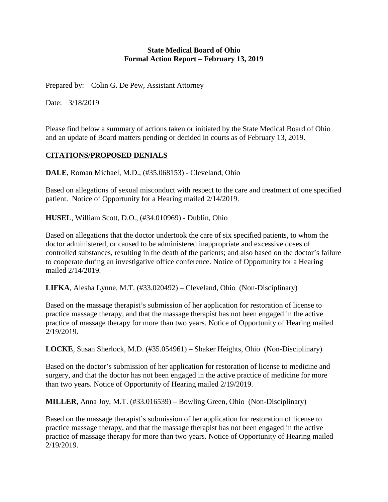#### **State Medical Board of Ohio Formal Action Report – February 13, 2019**

Prepared by: Colin G. De Pew, Assistant Attorney

Date: 3/18/2019

Please find below a summary of actions taken or initiated by the State Medical Board of Ohio and an update of Board matters pending or decided in courts as of February 13, 2019.

### **CITATIONS/PROPOSED DENIALS**

**DALE**, Roman Michael, M.D., (#35.068153) - Cleveland, Ohio

Based on allegations of sexual misconduct with respect to the care and treatment of one specified patient. Notice of Opportunity for a Hearing mailed 2/14/2019.

**HUSEL**, William Scott, D.O., (#34.010969) - Dublin, Ohio

Based on allegations that the doctor undertook the care of six specified patients, to whom the doctor administered, or caused to be administered inappropriate and excessive doses of controlled substances, resulting in the death of the patients; and also based on the doctor's failure to cooperate during an investigative office conference. Notice of Opportunity for a Hearing mailed 2/14/2019.

**LIFKA**, Alesha Lynne, M.T. (#33.020492) – Cleveland, Ohio (Non-Disciplinary)

Based on the massage therapist's submission of her application for restoration of license to practice massage therapy, and that the massage therapist has not been engaged in the active practice of massage therapy for more than two years. Notice of Opportunity of Hearing mailed 2/19/2019.

**LOCKE**, Susan Sherlock, M.D. (#35.054961) – Shaker Heights, Ohio (Non-Disciplinary)

Based on the doctor's submission of her application for restoration of license to medicine and surgery, and that the doctor has not been engaged in the active practice of medicine for more than two years. Notice of Opportunity of Hearing mailed 2/19/2019.

**MILLER**, Anna Joy, M.T. (#33.016539) – Bowling Green, Ohio (Non-Disciplinary)

Based on the massage therapist's submission of her application for restoration of license to practice massage therapy, and that the massage therapist has not been engaged in the active practice of massage therapy for more than two years. Notice of Opportunity of Hearing mailed 2/19/2019.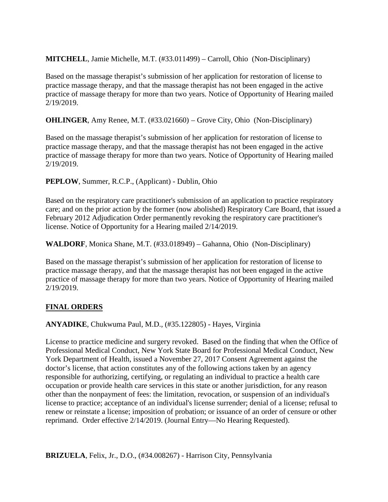### **MITCHELL**, Jamie Michelle, M.T. (#33.011499) – Carroll, Ohio (Non-Disciplinary)

Based on the massage therapist's submission of her application for restoration of license to practice massage therapy, and that the massage therapist has not been engaged in the active practice of massage therapy for more than two years. Notice of Opportunity of Hearing mailed 2/19/2019.

**OHLINGER**, Amy Renee, M.T. (#33.021660) – Grove City, Ohio (Non-Disciplinary)

Based on the massage therapist's submission of her application for restoration of license to practice massage therapy, and that the massage therapist has not been engaged in the active practice of massage therapy for more than two years. Notice of Opportunity of Hearing mailed 2/19/2019.

### **PEPLOW**, Summer, R.C.P., (Applicant) - Dublin, Ohio

Based on the respiratory care practitioner's submission of an application to practice respiratory care; and on the prior action by the former (now abolished) Respiratory Care Board, that issued a February 2012 Adjudication Order permanently revoking the respiratory care practitioner's license. Notice of Opportunity for a Hearing mailed 2/14/2019.

**WALDORF**, Monica Shane, M.T. (#33.018949) – Gahanna, Ohio (Non-Disciplinary)

Based on the massage therapist's submission of her application for restoration of license to practice massage therapy, and that the massage therapist has not been engaged in the active practice of massage therapy for more than two years. Notice of Opportunity of Hearing mailed 2/19/2019.

# **FINAL ORDERS**

**ANYADIKE**, Chukwuma Paul, M.D., (#35.122805) - Hayes, Virginia

License to practice medicine and surgery revoked. Based on the finding that when the Office of Professional Medical Conduct, New York State Board for Professional Medical Conduct, New York Department of Health, issued a November 27, 2017 Consent Agreement against the doctor's license, that action constitutes any of the following actions taken by an agency responsible for authorizing, certifying, or regulating an individual to practice a health care occupation or provide health care services in this state or another jurisdiction, for any reason other than the nonpayment of fees: the limitation, revocation, or suspension of an individual's license to practice; acceptance of an individual's license surrender; denial of a license; refusal to renew or reinstate a license; imposition of probation; or issuance of an order of censure or other reprimand. Order effective 2/14/2019. (Journal Entry—No Hearing Requested).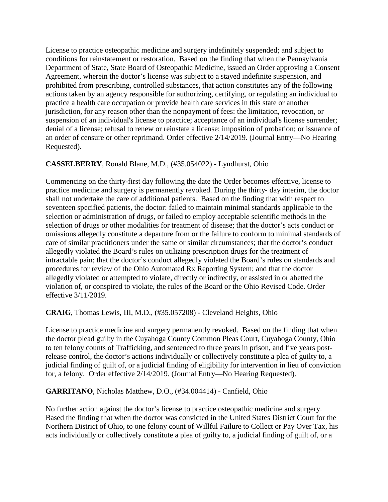License to practice osteopathic medicine and surgery indefinitely suspended; and subject to conditions for reinstatement or restoration. Based on the finding that when the Pennsylvania Department of State, State Board of Osteopathic Medicine, issued an Order approving a Consent Agreement, wherein the doctor's license was subject to a stayed indefinite suspension, and prohibited from prescribing, controlled substances, that action constitutes any of the following actions taken by an agency responsible for authorizing, certifying, or regulating an individual to practice a health care occupation or provide health care services in this state or another jurisdiction, for any reason other than the nonpayment of fees: the limitation, revocation, or suspension of an individual's license to practice; acceptance of an individual's license surrender; denial of a license; refusal to renew or reinstate a license; imposition of probation; or issuance of an order of censure or other reprimand. Order effective 2/14/2019. (Journal Entry—No Hearing Requested).

### **CASSELBERRY**, Ronald Blane, M.D., (#35.054022) - Lyndhurst, Ohio

Commencing on the thirty-first day following the date the Order becomes effective, license to practice medicine and surgery is permanently revoked. During the thirty- day interim, the doctor shall not undertake the care of additional patients. Based on the finding that with respect to seventeen specified patients, the doctor: failed to maintain minimal standards applicable to the selection or administration of drugs, or failed to employ acceptable scientific methods in the selection of drugs or other modalities for treatment of disease; that the doctor's acts conduct or omissions allegedly constitute a departure from or the failure to conform to minimal standards of care of similar practitioners under the same or similar circumstances; that the doctor's conduct allegedly violated the Board's rules on utilizing prescription drugs for the treatment of intractable pain; that the doctor's conduct allegedly violated the Board's rules on standards and procedures for review of the Ohio Automated Rx Reporting System; and that the doctor allegedly violated or attempted to violate, directly or indirectly, or assisted in or abetted the violation of, or conspired to violate, the rules of the Board or the Ohio Revised Code. Order effective 3/11/2019.

### **CRAIG**, Thomas Lewis, III, M.D., (#35.057208) - Cleveland Heights, Ohio

License to practice medicine and surgery permanently revoked. Based on the finding that when the doctor plead guilty in the Cuyahoga County Common Pleas Court, Cuyahoga County, Ohio to ten felony counts of Trafficking, and sentenced to three years in prison, and five years postrelease control, the doctor's actions individually or collectively constitute a plea of guilty to, a judicial finding of guilt of, or a judicial finding of eligibility for intervention in lieu of conviction for, a felony. Order effective 2/14/2019. (Journal Entry—No Hearing Requested).

### **GARRITANO**, Nicholas Matthew, D.O., (#34.004414) - Canfield, Ohio

No further action against the doctor's license to practice osteopathic medicine and surgery. Based the finding that when the doctor was convicted in the United States District Court for the Northern District of Ohio, to one felony count of Willful Failure to Collect or Pay Over Tax, his acts individually or collectively constitute a plea of guilty to, a judicial finding of guilt of, or a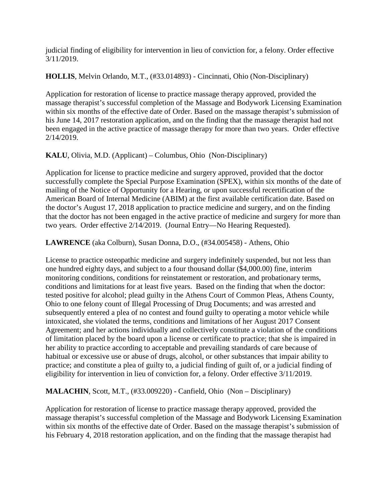judicial finding of eligibility for intervention in lieu of conviction for, a felony. Order effective 3/11/2019.

**HOLLIS**, Melvin Orlando, M.T., (#33.014893) - Cincinnati, Ohio (Non-Disciplinary)

Application for restoration of license to practice massage therapy approved, provided the massage therapist's successful completion of the Massage and Bodywork Licensing Examination within six months of the effective date of Order. Based on the massage therapist's submission of his June 14, 2017 restoration application, and on the finding that the massage therapist had not been engaged in the active practice of massage therapy for more than two years. Order effective 2/14/2019.

**KALU**, Olivia, M.D. (Applicant) – Columbus, Ohio (Non-Disciplinary)

Application for license to practice medicine and surgery approved, provided that the doctor successfully complete the Special Purpose Examination (SPEX), within six months of the date of mailing of the Notice of Opportunity for a Hearing, or upon successful recertification of the American Board of Internal Medicine (ABIM) at the first available certification date. Based on the doctor's August 17, 2018 application to practice medicine and surgery, and on the finding that the doctor has not been engaged in the active practice of medicine and surgery for more than two years. Order effective 2/14/2019. (Journal Entry—No Hearing Requested).

**LAWRENCE** (aka Colburn), Susan Donna, D.O., (#34.005458) - Athens, Ohio

License to practice osteopathic medicine and surgery indefinitely suspended, but not less than one hundred eighty days, and subject to a four thousand dollar (\$4,000.00) fine, interim monitoring conditions, conditions for reinstatement or restoration, and probationary terms, conditions and limitations for at least five years. Based on the finding that when the doctor: tested positive for alcohol; plead guilty in the Athens Court of Common Pleas, Athens County, Ohio to one felony count of Illegal Processing of Drug Documents; and was arrested and subsequently entered a plea of no contest and found guilty to operating a motor vehicle while intoxicated, she violated the terms, conditions and limitations of her August 2017 Consent Agreement; and her actions individually and collectively constitute a violation of the conditions of limitation placed by the board upon a license or certificate to practice; that she is impaired in her ability to practice according to acceptable and prevailing standards of care because of habitual or excessive use or abuse of drugs, alcohol, or other substances that impair ability to practice; and constitute a plea of guilty to, a judicial finding of guilt of, or a judicial finding of eligibility for intervention in lieu of conviction for, a felony. Order effective 3/11/2019.

**MALACHIN**, Scott, M.T., (#33.009220) - Canfield, Ohio (Non – Disciplinary)

Application for restoration of license to practice massage therapy approved, provided the massage therapist's successful completion of the Massage and Bodywork Licensing Examination within six months of the effective date of Order. Based on the massage therapist's submission of his February 4, 2018 restoration application, and on the finding that the massage therapist had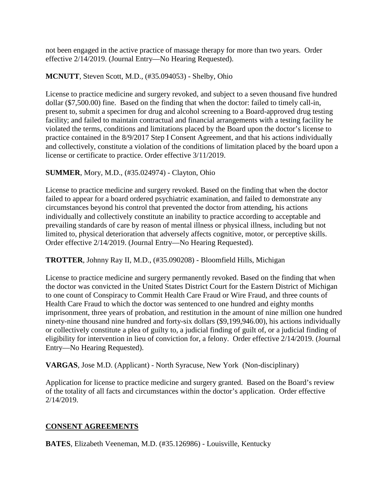not been engaged in the active practice of massage therapy for more than two years. Order effective 2/14/2019. (Journal Entry—No Hearing Requested).

#### **MCNUTT**, Steven Scott, M.D., (#35.094053) - Shelby, Ohio

License to practice medicine and surgery revoked, and subject to a seven thousand five hundred dollar (\$7,500.00) fine. Based on the finding that when the doctor: failed to timely call-in, present to, submit a specimen for drug and alcohol screening to a Board-approved drug testing facility; and failed to maintain contractual and financial arrangements with a testing facility he violated the terms, conditions and limitations placed by the Board upon the doctor's license to practice contained in the 8/9/2017 Step I Consent Agreement, and that his actions individually and collectively, constitute a violation of the conditions of limitation placed by the board upon a license or certificate to practice. Order effective 3/11/2019.

### **SUMMER**, Mory, M.D., (#35.024974) - Clayton, Ohio

License to practice medicine and surgery revoked. Based on the finding that when the doctor failed to appear for a board ordered psychiatric examination, and failed to demonstrate any circumstances beyond his control that prevented the doctor from attending, his actions individually and collectively constitute an inability to practice according to acceptable and prevailing standards of care by reason of mental illness or physical illness, including but not limited to, physical deterioration that adversely affects cognitive, motor, or perceptive skills. Order effective 2/14/2019. (Journal Entry—No Hearing Requested).

**TROTTER**, Johnny Ray II, M.D., (#35.090208) - Bloomfield Hills, Michigan

License to practice medicine and surgery permanently revoked. Based on the finding that when the doctor was convicted in the United States District Court for the Eastern District of Michigan to one count of Conspiracy to Commit Health Care Fraud or Wire Fraud, and three counts of Health Care Fraud to which the doctor was sentenced to one hundred and eighty months imprisonment, three years of probation, and restitution in the amount of nine million one hundred ninety-nine thousand nine hundred and forty-six dollars (\$9,199,946.00), his actions individually or collectively constitute a plea of guilty to, a judicial finding of guilt of, or a judicial finding of eligibility for intervention in lieu of conviction for, a felony. Order effective 2/14/2019. (Journal Entry—No Hearing Requested).

**VARGAS**, Jose M.D. (Applicant) - North Syracuse, New York (Non-disciplinary)

Application for license to practice medicine and surgery granted. Based on the Board's review of the totality of all facts and circumstances within the doctor's application. Order effective 2/14/2019.

### **CONSENT AGREEMENTS**

**BATES**, Elizabeth Veeneman, M.D. (#35.126986) - Louisville, Kentucky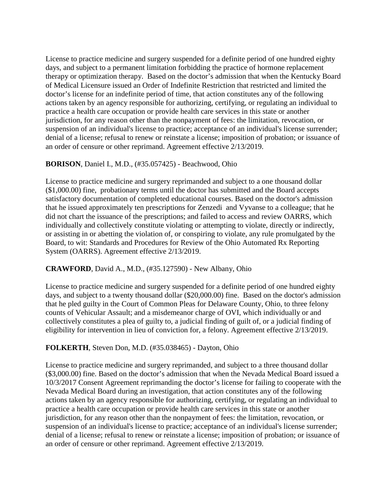License to practice medicine and surgery suspended for a definite period of one hundred eighty days, and subject to a permanent limitation forbidding the practice of hormone replacement therapy or optimization therapy. Based on the doctor's admission that when the Kentucky Board of Medical Licensure issued an Order of Indefinite Restriction that restricted and limited the doctor's license for an indefinite period of time, that action constitutes any of the following actions taken by an agency responsible for authorizing, certifying, or regulating an individual to practice a health care occupation or provide health care services in this state or another jurisdiction, for any reason other than the nonpayment of fees: the limitation, revocation, or suspension of an individual's license to practice; acceptance of an individual's license surrender; denial of a license; refusal to renew or reinstate a license; imposition of probation; or issuance of an order of censure or other reprimand. Agreement effective 2/13/2019.

### **BORISON**, Daniel I., M.D., (#35.057425) - Beachwood, Ohio

License to practice medicine and surgery reprimanded and subject to a one thousand dollar (\$1,000.00) fine, probationary terms until the doctor has submitted and the Board accepts satisfactory documentation of completed educational courses. Based on the doctor's admission that he issued approximately ten prescriptions for Zenzedi and Vyvanse to a colleague; that he did not chart the issuance of the prescriptions; and failed to access and review OARRS, which individually and collectively constitute violating or attempting to violate, directly or indirectly, or assisting in or abetting the violation of, or conspiring to violate, any rule promulgated by the Board, to wit: Standards and Procedures for Review of the Ohio Automated Rx Reporting System (OARRS). Agreement effective 2/13/2019.

# **CRAWFORD**, David A., M.D., (#35.127590) - New Albany, Ohio

License to practice medicine and surgery suspended for a definite period of one hundred eighty days, and subject to a twenty thousand dollar (\$20,000.00) fine. Based on the doctor's admission that he pled guilty in the Court of Common Pleas for Delaware County, Ohio, to three felony counts of Vehicular Assault; and a misdemeanor charge of OVI, which individually or and collectively constitutes a plea of guilty to, a judicial finding of guilt of, or a judicial finding of eligibility for intervention in lieu of conviction for, a felony. Agreement effective 2/13/2019.

# **FOLKERTH**, Steven Don, M.D. (#35.038465) - Dayton, Ohio

License to practice medicine and surgery reprimanded, and subject to a three thousand dollar (\$3,000.00) fine. Based on the doctor's admission that when the Nevada Medical Board issued a 10/3/2017 Consent Agreement reprimanding the doctor's license for failing to cooperate with the Nevada Medical Board during an investigation, that action constitutes any of the following actions taken by an agency responsible for authorizing, certifying, or regulating an individual to practice a health care occupation or provide health care services in this state or another jurisdiction, for any reason other than the nonpayment of fees: the limitation, revocation, or suspension of an individual's license to practice; acceptance of an individual's license surrender; denial of a license; refusal to renew or reinstate a license; imposition of probation; or issuance of an order of censure or other reprimand. Agreement effective 2/13/2019.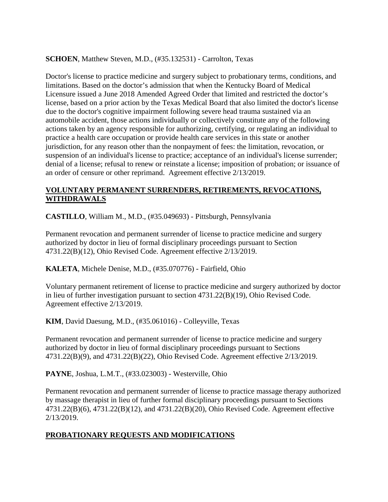### **SCHOEN**, Matthew Steven, M.D., (#35.132531) - Carrolton, Texas

Doctor's license to practice medicine and surgery subject to probationary terms, conditions, and limitations. Based on the doctor's admission that when the Kentucky Board of Medical Licensure issued a June 2018 Amended Agreed Order that limited and restricted the doctor's license, based on a prior action by the Texas Medical Board that also limited the doctor's license due to the doctor's cognitive impairment following severe head trauma sustained via an automobile accident, those actions individually or collectively constitute any of the following actions taken by an agency responsible for authorizing, certifying, or regulating an individual to practice a health care occupation or provide health care services in this state or another jurisdiction, for any reason other than the nonpayment of fees: the limitation, revocation, or suspension of an individual's license to practice; acceptance of an individual's license surrender; denial of a license; refusal to renew or reinstate a license; imposition of probation; or issuance of an order of censure or other reprimand. Agreement effective 2/13/2019.

#### **VOLUNTARY PERMANENT SURRENDERS, RETIREMENTS, REVOCATIONS, WITHDRAWALS**

**CASTILLO**, William M., M.D., (#35.049693) - Pittsburgh, Pennsylvania

Permanent revocation and permanent surrender of license to practice medicine and surgery authorized by doctor in lieu of formal disciplinary proceedings pursuant to Section 4731.22(B)(12), Ohio Revised Code. Agreement effective 2/13/2019.

**KALETA**, Michele Denise, M.D., (#35.070776) - Fairfield, Ohio

Voluntary permanent retirement of license to practice medicine and surgery authorized by doctor in lieu of further investigation pursuant to section 4731.22(B)(19), Ohio Revised Code. Agreement effective 2/13/2019.

**KIM**, David Daesung, M.D., (#35.061016) - Colleyville, Texas

Permanent revocation and permanent surrender of license to practice medicine and surgery authorized by doctor in lieu of formal disciplinary proceedings pursuant to Sections 4731.22(B)(9), and 4731.22(B)(22), Ohio Revised Code. Agreement effective 2/13/2019.

**PAYNE**, Joshua, L.M.T., (#33.023003) - Westerville, Ohio

Permanent revocation and permanent surrender of license to practice massage therapy authorized by massage therapist in lieu of further formal disciplinary proceedings pursuant to Sections 4731.22(B)(6), 4731.22(B)(12), and 4731.22(B)(20), Ohio Revised Code. Agreement effective 2/13/2019.

# **PROBATIONARY REQUESTS AND MODIFICATIONS**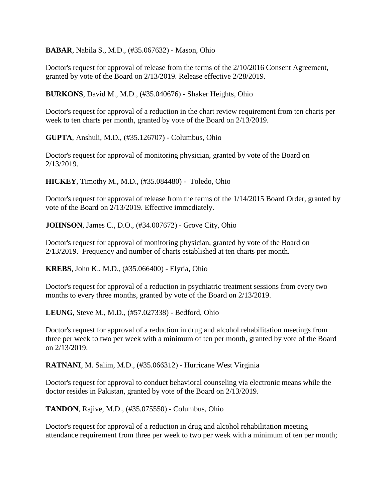**BABAR**, Nabila S., M.D., (#35.067632) - Mason, Ohio

Doctor's request for approval of release from the terms of the 2/10/2016 Consent Agreement, granted by vote of the Board on 2/13/2019. Release effective 2/28/2019.

**BURKONS**, David M., M.D., (#35.040676) - Shaker Heights, Ohio

Doctor's request for approval of a reduction in the chart review requirement from ten charts per week to ten charts per month, granted by vote of the Board on 2/13/2019.

**GUPTA**, Anshuli, M.D., (#35.126707) - Columbus, Ohio

Doctor's request for approval of monitoring physician, granted by vote of the Board on 2/13/2019.

**HICKEY**, Timothy M., M.D., (#35.084480) - Toledo, Ohio

Doctor's request for approval of release from the terms of the 1/14/2015 Board Order, granted by vote of the Board on 2/13/2019. Effective immediately.

**JOHNSON**, James C., D.O., (#34.007672) - Grove City, Ohio

Doctor's request for approval of monitoring physician, granted by vote of the Board on 2/13/2019. Frequency and number of charts established at ten charts per month.

**KREBS**, John K., M.D., (#35.066400) - Elyria, Ohio

Doctor's request for approval of a reduction in psychiatric treatment sessions from every two months to every three months, granted by vote of the Board on 2/13/2019.

**LEUNG**, Steve M., M.D., (#57.027338) - Bedford, Ohio

Doctor's request for approval of a reduction in drug and alcohol rehabilitation meetings from three per week to two per week with a minimum of ten per month, granted by vote of the Board on 2/13/2019.

**RATNANI**, M. Salim, M.D., (#35.066312) - Hurricane West Virginia

Doctor's request for approval to conduct behavioral counseling via electronic means while the doctor resides in Pakistan, granted by vote of the Board on 2/13/2019.

**TANDON**, Rajive, M.D., (#35.075550) - Columbus, Ohio

Doctor's request for approval of a reduction in drug and alcohol rehabilitation meeting attendance requirement from three per week to two per week with a minimum of ten per month;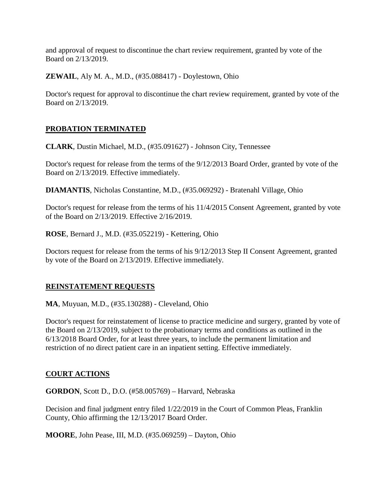and approval of request to discontinue the chart review requirement, granted by vote of the Board on 2/13/2019.

**ZEWAIL**, Aly M. A., M.D., (#35.088417) - Doylestown, Ohio

Doctor's request for approval to discontinue the chart review requirement, granted by vote of the Board on 2/13/2019.

### **PROBATION TERMINATED**

**CLARK**, Dustin Michael, M.D., (#35.091627) - Johnson City, Tennessee

Doctor's request for release from the terms of the 9/12/2013 Board Order, granted by vote of the Board on 2/13/2019. Effective immediately.

**DIAMANTIS**, Nicholas Constantine, M.D., (#35.069292) - Bratenahl Village, Ohio

Doctor's request for release from the terms of his 11/4/2015 Consent Agreement, granted by vote of the Board on 2/13/2019. Effective 2/16/2019.

**ROSE**, Bernard J., M.D. (#35.052219) - Kettering, Ohio

Doctors request for release from the terms of his 9/12/2013 Step II Consent Agreement, granted by vote of the Board on 2/13/2019. Effective immediately.

### **REINSTATEMENT REQUESTS**

**MA**, Muyuan, M.D., (#35.130288) - Cleveland, Ohio

Doctor's request for reinstatement of license to practice medicine and surgery, granted by vote of the Board on 2/13/2019, subject to the probationary terms and conditions as outlined in the 6/13/2018 Board Order, for at least three years, to include the permanent limitation and restriction of no direct patient care in an inpatient setting. Effective immediately.

#### **COURT ACTIONS**

**GORDON**, Scott D., D.O. (#58.005769) – Harvard, Nebraska

Decision and final judgment entry filed 1/22/2019 in the Court of Common Pleas, Franklin County, Ohio affirming the 12/13/2017 Board Order.

**MOORE**, John Pease, III, M.D. (#35.069259) – Dayton, Ohio